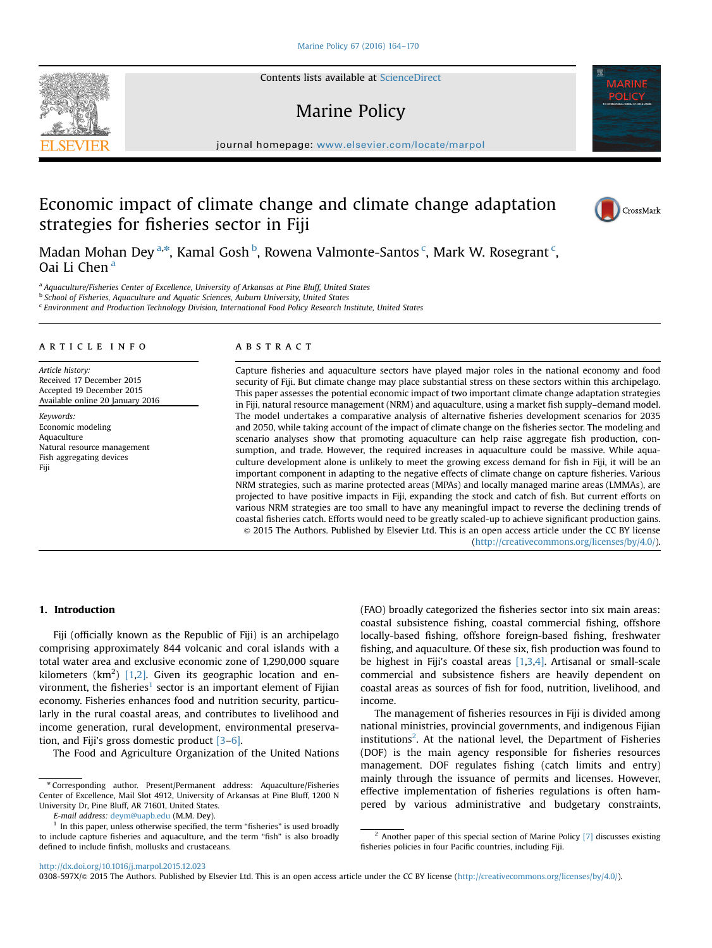Contents lists available at [ScienceDirect](www.sciencedirect.com/science/journal/0308597X)

# Marine Policy

journal homepage: <www.elsevier.com/locate/marpol>ity/ $\mathcal{M}$ 

# Economic impact of climate change and climate change adaptation strategies for fisheries sector in Fiji

Madan Mohan Dey<sup>a,\*</sup>, Kamal Gosh <sup>b</sup>, Rowena Valmonte-Santos <sup>c</sup>, Mark W. Rosegrant <sup>c</sup>, Oai Li Chen<sup>a</sup>

<sup>a</sup> Aquaculture/Fisheries Center of Excellence, University of Arkansas at Pine Bluff, United States

**b School of Fisheries, Aquaculture and Aquatic Sciences, Auburn University, United States** 

<sup>c</sup> Environment and Production Technology Division, International Food Policy Research Institute, United States

# article info

Article history: Received 17 December 2015 Accepted 19 December 2015 Available online 20 January 2016

Keywords: Economic modeling Aquaculture Natural resource management Fish aggregating devices Fiji

# **ABSTRACT**

Capture fisheries and aquaculture sectors have played major roles in the national economy and food security of Fiji. But climate change may place substantial stress on these sectors within this archipelago. This paper assesses the potential economic impact of two important climate change adaptation strategies in Fiji, natural resource management (NRM) and aquaculture, using a market fish supply–demand model. The model undertakes a comparative analysis of alternative fisheries development scenarios for 2035 and 2050, while taking account of the impact of climate change on the fisheries sector. The modeling and scenario analyses show that promoting aquaculture can help raise aggregate fish production, consumption, and trade. However, the required increases in aquaculture could be massive. While aquaculture development alone is unlikely to meet the growing excess demand for fish in Fiji, it will be an important component in adapting to the negative effects of climate change on capture fisheries. Various NRM strategies, such as marine protected areas (MPAs) and locally managed marine areas (LMMAs), are projected to have positive impacts in Fiji, expanding the stock and catch of fish. But current efforts on various NRM strategies are too small to have any meaningful impact to reverse the declining trends of coastal fisheries catch. Efforts would need to be greatly scaled-up to achieve significant production gains. & 2015 The Authors. Published by Elsevier Ltd. This is an open access article under the CC BY license (http://creativecommons.org/licenses/by/4.0/).

# 1. Introduction

Fiji (officially known as the Republic of Fiji) is an archipelago comprising approximately 844 volcanic and coral islands with a total water area and exclusive economic zone of 1,290,000 square kilometers  $(km^2)$  [\[1,2\]](#page-6-0). Given its geographic location and environment, the fisheries<sup>1</sup> sector is an important element of Fijian economy. Fisheries enhances food and nutrition security, particularly in the rural coastal areas, and contributes to livelihood and income generation, rural development, environmental preservation, and Fiji's gross domestic product [\[3](#page-6-0)–[6\]](#page-6-0).

The Food and Agriculture Organization of the United Nations

E-mail address: [deym@uapb.edu](mailto:deym@uapb.edu) (M.M. Dey).

(FAO) broadly categorized the fisheries sector into six main areas: coastal subsistence fishing, coastal commercial fishing, offshore locally-based fishing, offshore foreign-based fishing, freshwater fishing, and aquaculture. Of these six, fish production was found to be highest in Fiji's coastal areas  $[1,3,4]$ . Artisanal or small-scale commercial and subsistence fishers are heavily dependent on coastal areas as sources of fish for food, nutrition, livelihood, and income.

The management of fisheries resources in Fiji is divided among national ministries, provincial governments, and indigenous Fijian institutions<sup>2</sup>. At the national level, the Department of Fisheries (DOF) is the main agency responsible for fisheries resources management. DOF regulates fishing (catch limits and entry) mainly through the issuance of permits and licenses. However, effective implementation of fisheries regulations is often hampered by various administrative and budgetary constraints,

<http://dx.doi.org/10.1016/j.marpol.2015.12.023>

0308-597X/@ 2015 The Authors. Published by Elsevier Ltd. This is an open access article under the CC BY license (http://creativecommons.org/licenses/by/4.0/).







<sup>n</sup> Corresponding author. Present/Permanent address: Aquaculture/Fisheries Center of Excellence, Mail Slot 4912, University of Arkansas at Pine Bluff, 1200 N University Dr, Pine Bluff, AR 71601, United States.

 $1$  In this paper, unless otherwise specified, the term "fisheries" is used broadly to include capture fisheries and aquaculture, and the term "fish" is also broadly defined to include finfish, mollusks and crustaceans.

 $2$  Another paper of this special section of Marine Policy [\[7\]](#page-6-0) discusses existing fisheries policies in four Pacific countries, including Fiji.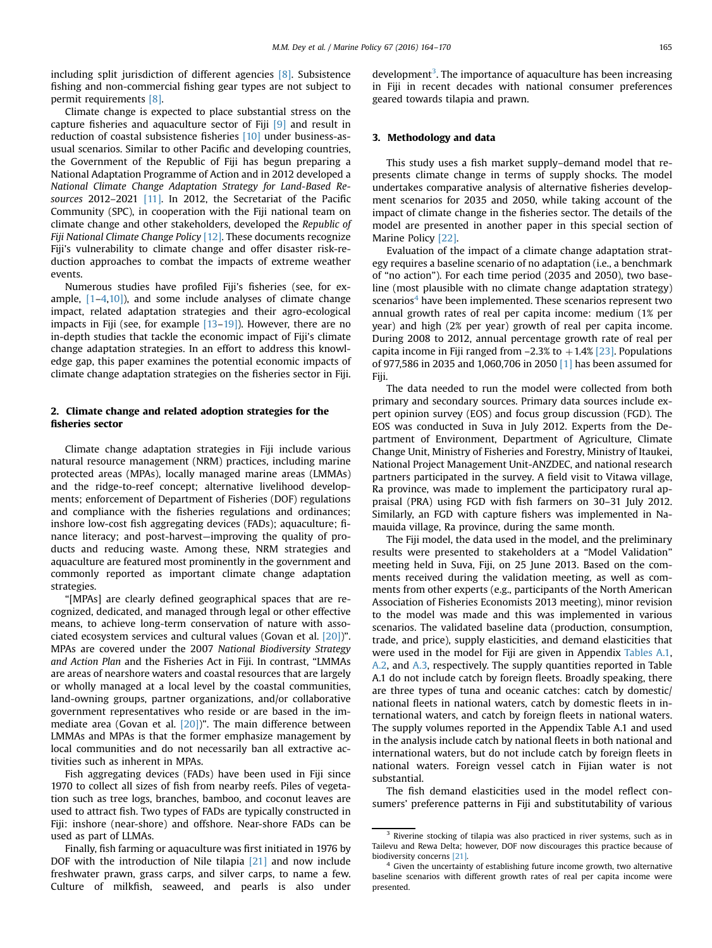including split jurisdiction of different agencies [\[8\].](#page-6-0) Subsistence fishing and non-commercial fishing gear types are not subject to permit requirements [\[8\]](#page-6-0).

Climate change is expected to place substantial stress on the capture fisheries and aquaculture sector of Fiji [\[9\]](#page-6-0) and result in reduction of coastal subsistence fisheries [\[10\]](#page-6-0) under business-asusual scenarios. Similar to other Pacific and developing countries, the Government of the Republic of Fiji has begun preparing a National Adaptation Programme of Action and in 2012 developed a National Climate Change Adaptation Strategy for Land-Based Re-sources 2012–2021 [\[11\].](#page-6-0) In 2012, the Secretariat of the Pacific Community (SPC), in cooperation with the Fiji national team on climate change and other stakeholders, developed the Republic of Fiji National Climate Change Policy [\[12\]](#page-6-0). These documents recognize Fiji's vulnerability to climate change and offer disaster risk-reduction approaches to combat the impacts of extreme weather events.

Numerous studies have profiled Fiji's fisheries (see, for example, [\[1](#page-6-0)–[4,10\]](#page-6-0)), and some include analyses of climate change impact, related adaptation strategies and their agro-ecological impacts in Fiji (see, for example [\[13](#page-6-0)–[19\]\)](#page-6-0). However, there are no in-depth studies that tackle the economic impact of Fiji's climate change adaptation strategies. In an effort to address this knowledge gap, this paper examines the potential economic impacts of climate change adaptation strategies on the fisheries sector in Fiji.

# 2. Climate change and related adoption strategies for the fisheries sector

Climate change adaptation strategies in Fiji include various natural resource management (NRM) practices, including marine protected areas (MPAs), locally managed marine areas (LMMAs) and the ridge-to-reef concept; alternative livelihood developments; enforcement of Department of Fisheries (DOF) regulations and compliance with the fisheries regulations and ordinances; inshore low-cost fish aggregating devices (FADs); aquaculture; finance literacy; and post-harvest—improving the quality of products and reducing waste. Among these, NRM strategies and aquaculture are featured most prominently in the government and commonly reported as important climate change adaptation strategies.

"[MPAs] are clearly defined geographical spaces that are recognized, dedicated, and managed through legal or other effective means, to achieve long-term conservation of nature with associated ecosystem services and cultural values (Govan et al. [\[20\]](#page-6-0))". MPAs are covered under the 2007 National Biodiversity Strategy and Action Plan and the Fisheries Act in Fiji. In contrast, "LMMAs are areas of nearshore waters and coastal resources that are largely or wholly managed at a local level by the coastal communities, land-owning groups, partner organizations, and/or collaborative government representatives who reside or are based in the immediate area (Govan et al. [\[20\]](#page-6-0))". The main difference between LMMAs and MPAs is that the former emphasize management by local communities and do not necessarily ban all extractive activities such as inherent in MPAs.

Fish aggregating devices (FADs) have been used in Fiji since 1970 to collect all sizes of fish from nearby reefs. Piles of vegetation such as tree logs, branches, bamboo, and coconut leaves are used to attract fish. Two types of FADs are typically constructed in Fiji: inshore (near-shore) and offshore. Near-shore FADs can be used as part of LLMAs.

Finally, fish farming or aquaculture was first initiated in 1976 by DOF with the introduction of Nile tilapia [\[21\]](#page-6-0) and now include freshwater prawn, grass carps, and silver carps, to name a few. Culture of milkfish, seaweed, and pearls is also under

development<sup>3</sup>. The importance of aquaculture has been increasing in Fiji in recent decades with national consumer preferences geared towards tilapia and prawn.

#### 3. Methodology and data

This study uses a fish market supply–demand model that represents climate change in terms of supply shocks. The model undertakes comparative analysis of alternative fisheries development scenarios for 2035 and 2050, while taking account of the impact of climate change in the fisheries sector. The details of the model are presented in another paper in this special section of Marine Policy [\[22\].](#page-6-0)

Evaluation of the impact of a climate change adaptation strategy requires a baseline scenario of no adaptation (i.e., a benchmark of "no action"). For each time period (2035 and 2050), two baseline (most plausible with no climate change adaptation strategy) scenarios<sup>4</sup> have been implemented. These scenarios represent two annual growth rates of real per capita income: medium (1% per year) and high (2% per year) growth of real per capita income. During 2008 to 2012, annual percentage growth rate of real per capita income in Fiji ranged from  $-2.3\%$  to  $+1.4\%$  [\[23\].](#page-6-0) Populations of 977,586 in 2035 and 1,060,706 in 2050 [\[1\]](#page-6-0) has been assumed for Fiji.

The data needed to run the model were collected from both primary and secondary sources. Primary data sources include expert opinion survey (EOS) and focus group discussion (FGD). The EOS was conducted in Suva in July 2012. Experts from the Department of Environment, Department of Agriculture, Climate Change Unit, Ministry of Fisheries and Forestry, Ministry of Itaukei, National Project Management Unit-ANZDEC, and national research partners participated in the survey. A field visit to Vitawa village, Ra province, was made to implement the participatory rural appraisal (PRA) using FGD with fish farmers on 30–31 July 2012. Similarly, an FGD with capture fishers was implemented in Namauida village, Ra province, during the same month.

The Fiji model, the data used in the model, and the preliminary results were presented to stakeholders at a "Model Validation" meeting held in Suva, Fiji, on 25 June 2013. Based on the comments received during the validation meeting, as well as comments from other experts (e.g., participants of the North American Association of Fisheries Economists 2013 meeting), minor revision to the model was made and this was implemented in various scenarios. The validated baseline data (production, consumption, trade, and price), supply elasticities, and demand elasticities that were used in the model for Fiji are given in Appendix [Tables A.1,](#page-5-0) [A.2,](#page-5-0) and [A.3,](#page-5-0) respectively. The supply quantities reported in Table A.1 do not include catch by foreign fleets. Broadly speaking, there are three types of tuna and oceanic catches: catch by domestic/ national fleets in national waters, catch by domestic fleets in international waters, and catch by foreign fleets in national waters. The supply volumes reported in the Appendix Table A.1 and used in the analysis include catch by national fleets in both national and international waters, but do not include catch by foreign fleets in national waters. Foreign vessel catch in Fijian water is not substantial.

The fish demand elasticities used in the model reflect consumers' preference patterns in Fiji and substitutability of various

<sup>&</sup>lt;sup>3</sup> Riverine stocking of tilapia was also practiced in river systems, such as in Tailevu and Rewa Delta; however, DOF now discourages this practice because of biodiversity concerns [\[21\].](#page-6-0)

Given the uncertainty of establishing future income growth, two alternative baseline scenarios with different growth rates of real per capita income were presented.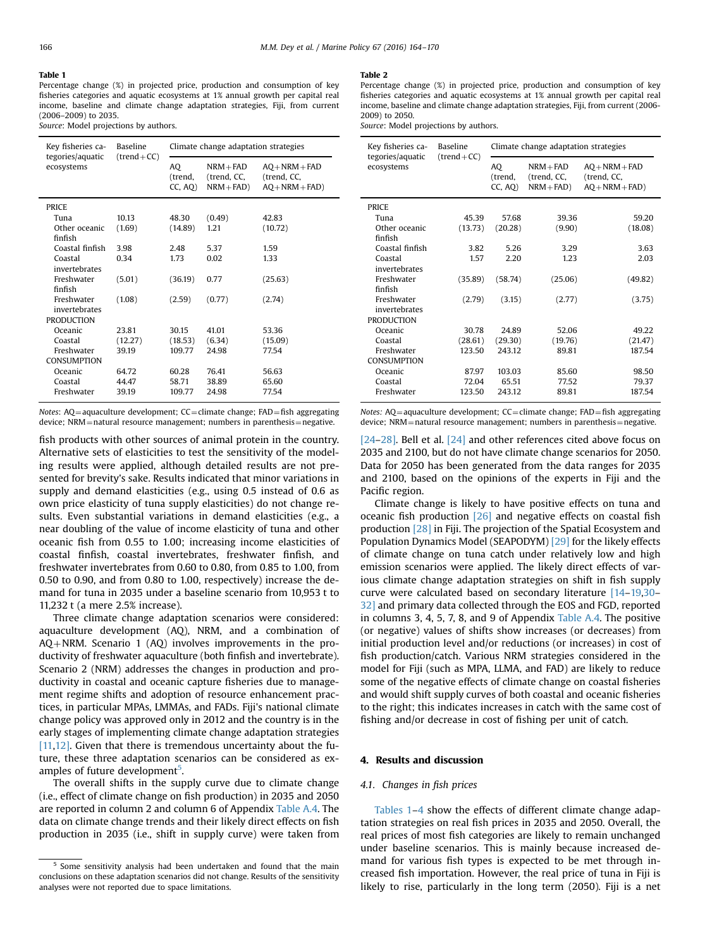#### <span id="page-2-0"></span>Table 1

Percentage change (%) in projected price, production and consumption of key fisheries categories and aquatic ecosystems at 1% annual growth per capital real income, baseline and climate change adaptation strategies, Fiji, from current (2006–2009) to 2035.

Source: Model projections by authors.

| Key fisheries ca-<br>tegories/aquatic | <b>Baseline</b><br>$(trend + CC)$ | Climate change adaptation strategies |                                           |                                                      |  |
|---------------------------------------|-----------------------------------|--------------------------------------|-------------------------------------------|------------------------------------------------------|--|
| ecosystems                            |                                   | AO<br>(trend,<br>CC, AO              | $NRM + FAD$<br>(trend, CC,<br>$NRM + FAD$ | $AO + NRM + FAD$<br>(trend, CC,<br>$AO + NRM + FAD)$ |  |
| <b>PRICE</b>                          |                                   |                                      |                                           |                                                      |  |
| Tuna                                  | 10.13                             | 48.30                                | (0.49)                                    | 42.83                                                |  |
| Other oceanic<br>finfish              | (1.69)                            | (14.89)                              | 1.21                                      | (10.72)                                              |  |
| Coastal finfish                       | 3.98                              | 2.48                                 | 5.37                                      | 1.59                                                 |  |
| Coastal<br>invertebrates              | 0.34                              | 1.73                                 | 0.02                                      | 1.33                                                 |  |
| Freshwater<br>finfish                 | (5.01)                            | (36.19)                              | 0.77                                      | (25.63)                                              |  |
| Freshwater<br>invertebrates           | (1.08)                            | (2.59)                               | (0.77)                                    | (2.74)                                               |  |
| <b>PRODUCTION</b>                     |                                   |                                      |                                           |                                                      |  |
| Oceanic                               | 23.81                             | 30.15                                | 41.01                                     | 53.36                                                |  |
| Coastal                               | (12.27)                           | (18.53)                              | (6.34)                                    | (15.09)                                              |  |
| Freshwater<br><b>CONSUMPTION</b>      | 39.19                             | 109.77                               | 24.98                                     | 77.54                                                |  |
| Oceanic                               | 64.72                             | 60.28                                | 76.41                                     | 56.63                                                |  |
| Coastal                               | 44.47                             | 58.71                                | 38.89                                     | 65.60                                                |  |
| Freshwater                            | 39.19                             | 109.77                               | 24.98                                     | 77.54                                                |  |

Notes:  $AQ = aquaculture development$ ;  $CC = climate change$ ;  $FAD = fish aggregating$ device; NRM = natural resource management; numbers in parenthesis = negative.

fish products with other sources of animal protein in the country. Alternative sets of elasticities to test the sensitivity of the modeling results were applied, although detailed results are not presented for brevity's sake. Results indicated that minor variations in supply and demand elasticities (e.g., using 0.5 instead of 0.6 as own price elasticity of tuna supply elasticities) do not change results. Even substantial variations in demand elasticities (e.g., a near doubling of the value of income elasticity of tuna and other oceanic fish from 0.55 to 1.00; increasing income elasticities of coastal finfish, coastal invertebrates, freshwater finfish, and freshwater invertebrates from 0.60 to 0.80, from 0.85 to 1.00, from 0.50 to 0.90, and from 0.80 to 1.00, respectively) increase the demand for tuna in 2035 under a baseline scenario from 10,953 t to 11,232 t (a mere 2.5% increase).

Three climate change adaptation scenarios were considered: aquaculture development (AQ), NRM, and a combination of  $AQ + NRM$ . Scenario 1 (AQ) involves improvements in the productivity of freshwater aquaculture (both finfish and invertebrate). Scenario 2 (NRM) addresses the changes in production and productivity in coastal and oceanic capture fisheries due to management regime shifts and adoption of resource enhancement practices, in particular MPAs, LMMAs, and FADs. Fiji's national climate change policy was approved only in 2012 and the country is in the early stages of implementing climate change adaptation strategies [\[11,12\]](#page-6-0). Given that there is tremendous uncertainty about the future, these three adaptation scenarios can be considered as examples of future development<sup>5</sup>.

The overall shifts in the supply curve due to climate change (i.e., effect of climate change on fish production) in 2035 and 2050 are reported in column 2 and column 6 of Appendix [Table A.4.](#page-5-0) The data on climate change trends and their likely direct effects on fish production in 2035 (i.e., shift in supply curve) were taken from

#### Table 2

Percentage change (%) in projected price, production and consumption of key fisheries categories and aquatic ecosystems at 1% annual growth per capital real income, baseline and climate change adaptation strategies, Fiji, from current (2006- 2009) to 2050.

Source: Model projections by authors.

| Key fisheries ca-<br>tegories/aquatic | <b>Baseline</b><br>$(trend+CC)$ | Climate change adaptation strategies |                                             |                                                      |  |  |
|---------------------------------------|---------------------------------|--------------------------------------|---------------------------------------------|------------------------------------------------------|--|--|
| ecosystems                            |                                 | AO<br>(trend,<br>CC, AO              | $NRM + FAD$<br>(trend, CC,<br>$NRM + FAD$ ) | $AO + NRM + FAD$<br>(trend, CC,<br>$AQ + NRM + FAD)$ |  |  |
| <b>PRICE</b>                          |                                 |                                      |                                             |                                                      |  |  |
| Tuna                                  | 45.39                           | 57.68                                | 39.36                                       | 59.20                                                |  |  |
| Other oceanic<br>finfish              | (13.73)                         | (20.28)                              | (9.90)                                      | (18.08)                                              |  |  |
| Coastal finfish                       | 3.82                            | 5.26                                 | 3.29                                        | 3.63                                                 |  |  |
| Coastal<br>invertebrates              | 1.57                            | 2.20                                 | 1.23                                        | 2.03                                                 |  |  |
| Freshwater<br>finfish                 | (35.89)                         | (58.74)                              | (25.06)                                     | (49.82)                                              |  |  |
| Freshwater<br>invertebrates           | (2.79)                          | (3.15)                               | (2.77)                                      | (3.75)                                               |  |  |
| <b>PRODUCTION</b>                     |                                 |                                      |                                             |                                                      |  |  |
| Oceanic                               | 30.78                           | 24.89                                | 52.06                                       | 49.22                                                |  |  |
| Coastal                               | (28.61)                         | (29.30)                              | (19.76)                                     | (21.47)                                              |  |  |
| Freshwater                            | 123.50                          | 243.12                               | 89.81                                       | 187.54                                               |  |  |
| <b>CONSUMPTION</b>                    |                                 |                                      |                                             |                                                      |  |  |
| Oceanic                               | 87.97                           | 103.03                               | 85.60                                       | 98.50                                                |  |  |
| Coastal                               | 72.04                           | 65.51                                | 77.52                                       | 79.37                                                |  |  |
| Freshwater                            | 123.50                          | 243.12                               | 89.81                                       | 187.54                                               |  |  |

Notes: AQ=aquaculture development; CC=climate change; FAD=fish aggregating device; NRM = natural resource management; numbers in parenthesis = negative.

[\[24](#page-6-0)–[28\]](#page-6-0). Bell et al. [\[24\]](#page-6-0) and other references cited above focus on 2035 and 2100, but do not have climate change scenarios for 2050. Data for 2050 has been generated from the data ranges for 2035 and 2100, based on the opinions of the experts in Fiji and the Pacific region.

Climate change is likely to have positive effects on tuna and oceanic fish production [\[26\]](#page-6-0) and negative effects on coastal fish production [\[28\]](#page-6-0) in Fiji. The projection of the Spatial Ecosystem and Population Dynamics Model (SEAPODYM) [\[29\]](#page-6-0) for the likely effects of climate change on tuna catch under relatively low and high emission scenarios were applied. The likely direct effects of various climate change adaptation strategies on shift in fish supply curve were calculated based on secondary literature [\[14](#page-6-0)–[19,30](#page-6-0)– [32\]](#page-6-0) and primary data collected through the EOS and FGD, reported in columns 3, 4, 5, 7, 8, and 9 of Appendix [Table A.4.](#page-5-0) The positive (or negative) values of shifts show increases (or decreases) from initial production level and/or reductions (or increases) in cost of fish production/catch. Various NRM strategies considered in the model for Fiji (such as MPA, LLMA, and FAD) are likely to reduce some of the negative effects of climate change on coastal fisheries and would shift supply curves of both coastal and oceanic fisheries to the right; this indicates increases in catch with the same cost of fishing and/or decrease in cost of fishing per unit of catch.

# 4. Results and discussion

## 4.1. Changes in fish prices

Tables 1–[4](#page-3-0) show the effects of different climate change adaptation strategies on real fish prices in 2035 and 2050. Overall, the real prices of most fish categories are likely to remain unchanged under baseline scenarios. This is mainly because increased demand for various fish types is expected to be met through increased fish importation. However, the real price of tuna in Fiji is likely to rise, particularly in the long term (2050). Fiji is a net

<sup>5</sup> Some sensitivity analysis had been undertaken and found that the main conclusions on these adaptation scenarios did not change. Results of the sensitivity analyses were not reported due to space limitations.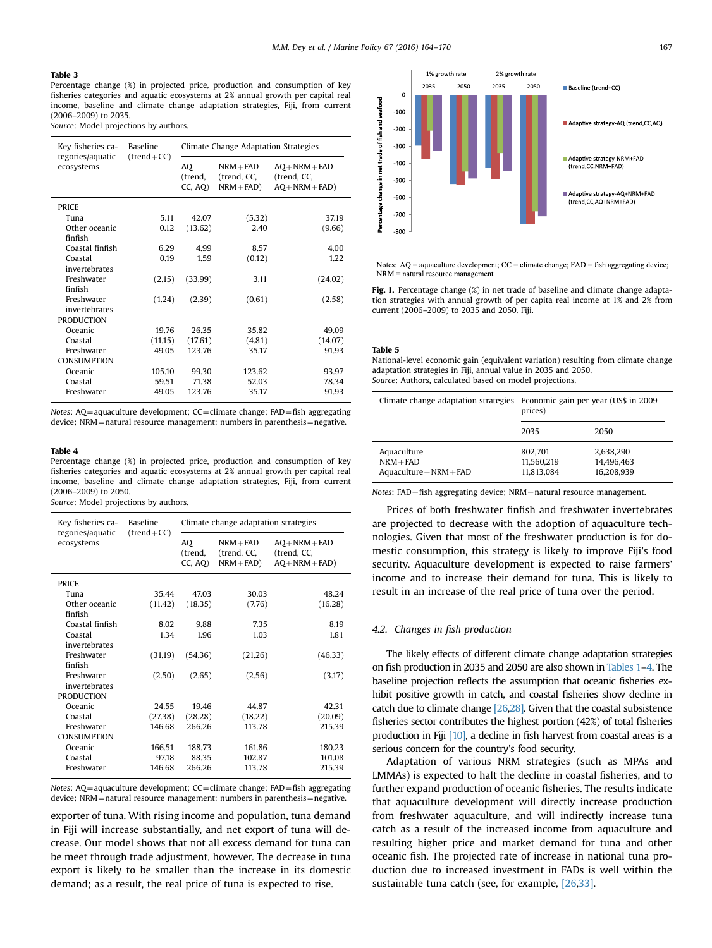## <span id="page-3-0"></span>Table 3

Percentage change (%) in projected price, production and consumption of key fisheries categories and aquatic ecosystems at 2% annual growth per capital real income, baseline and climate change adaptation strategies, Fiji, from current (2006–2009) to 2035.

Source: Model projections by authors.

| Key fisheries ca-<br>tegories/aquatic | <b>Baseline</b><br>$(trend+CC)$ | Climate Change Adaptation Strategies |                                            |                                                      |  |  |
|---------------------------------------|---------------------------------|--------------------------------------|--------------------------------------------|------------------------------------------------------|--|--|
| ecosystems                            |                                 | AO<br>(trend,<br>CC, AO              | $NRM + FAD$<br>(trend, CC,<br>$NRM + FAD)$ | $AO + NRM + FAD$<br>(trend, CC,<br>$AO + NRM + FAD)$ |  |  |
| <b>PRICE</b>                          |                                 |                                      |                                            |                                                      |  |  |
| Tuna                                  | 5.11                            | 42.07                                | (5.32)                                     | 37.19                                                |  |  |
| Other oceanic<br>finfish              | 0.12                            | (13.62)                              | 2.40                                       | (9.66)                                               |  |  |
| Coastal finfish                       | 6.29                            | 4.99                                 | 8.57                                       | 4.00                                                 |  |  |
| Coastal<br>invertebrates              | 0.19                            | 1.59                                 | (0.12)                                     | 1.22                                                 |  |  |
| Freshwater<br>finfish                 | (2.15)                          | (33.99)                              | 3.11                                       | (24.02)                                              |  |  |
| Freshwater<br>invertebrates           | (1.24)                          | (2.39)                               | (0.61)                                     | (2.58)                                               |  |  |
| <b>PRODUCTION</b>                     |                                 |                                      |                                            |                                                      |  |  |
| Oceanic                               | 19.76                           | 26.35                                | 35.82                                      | 49.09                                                |  |  |
| Coastal                               | (11.15)                         | (17.61)                              | (4.81)                                     | (14.07)                                              |  |  |
| Freshwater                            | 49.05                           | 123.76                               | 35.17                                      | 91.93                                                |  |  |
| <b>CONSUMPTION</b>                    |                                 |                                      |                                            |                                                      |  |  |
| Oceanic                               | 105.10                          | 99.30                                | 123.62                                     | 93.97                                                |  |  |
| Coastal                               | 59.51                           | 71.38                                | 52.03                                      | 78.34                                                |  |  |
| Freshwater                            | 49.05                           | 123.76                               | 35.17                                      | 91.93                                                |  |  |

Notes:  $AQ = aquaculture development$ ;  $CC = climate change$ ;  $FAD = fish$  aggregating device; NRM = natural resource management; numbers in parenthesis = negative.

#### Table 4

Percentage change (%) in projected price, production and consumption of key fisheries categories and aquatic ecosystems at 2% annual growth per capital real income, baseline and climate change adaptation strategies, Fiji, from current (2006–2009) to 2050.

Source: Model projections by authors.

| Key fisheries ca-<br>tegories/aquatic | <b>Baseline</b><br>$(trend + CC)$ |                         | Climate change adaptation strategies      |                                                      |
|---------------------------------------|-----------------------------------|-------------------------|-------------------------------------------|------------------------------------------------------|
| ecosystems                            |                                   | AO<br>(trend,<br>CC, AO | $NRM + FAD$<br>(trend, CC,<br>$NRM + FAD$ | $AQ + NRM + FAD$<br>(trend, CC,<br>$AO + NRM + FAD)$ |
| PRICE                                 |                                   |                         |                                           |                                                      |
| Tuna                                  | 35.44                             | 47.03                   | 30.03                                     | 48.24                                                |
| Other oceanic<br>finfish              | (11.42)                           | (18.35)                 | (7.76)                                    | (16.28)                                              |
| Coastal finfish                       | 8.02                              | 9.88                    | 7.35                                      | 8.19                                                 |
| Coastal<br>invertebrates              | 1.34                              | 1.96                    | 1.03                                      | 1.81                                                 |
| Freshwater<br>finfish                 | (31.19)                           | (54.36)                 | (21.26)                                   | (46.33)                                              |
| Freshwater<br>invertebrates           | (2.50)                            | (2.65)                  | (2.56)                                    | (3.17)                                               |
| <b>PRODUCTION</b>                     |                                   |                         |                                           |                                                      |
| Oceanic                               | 24.55                             | 19.46                   | 44.87                                     | 42.31                                                |
| Coastal                               | (27.38)                           | (28.28)                 | (18.22)                                   | (20.09)                                              |
| Freshwater<br><b>CONSUMPTION</b>      | 146.68                            | 266.26                  | 113.78                                    | 215.39                                               |
| Oceanic                               | 166.51                            | 188.73                  | 161.86                                    | 180.23                                               |
| Coastal                               | 97.18                             | 88.35                   | 102.87                                    | 101.08                                               |
| Freshwater                            | 146.68                            | 266.26                  | 113.78                                    | 215.39                                               |

Notes:  $AQ = aquaculture development$ ;  $CC = climate change$ ;  $FAD = fish aggregating$ device; NRM = natural resource management; numbers in parenthesis = negative.

exporter of tuna. With rising income and population, tuna demand in Fiji will increase substantially, and net export of tuna will decrease. Our model shows that not all excess demand for tuna can be meet through trade adjustment, however. The decrease in tuna export is likely to be smaller than the increase in its domestic demand; as a result, the real price of tuna is expected to rise.



Notes:  $AQ = aquaculture development$ ;  $CC = climate change$ ;  $FAD = fish aggregating device$ ;  $NRM =$  natural resource management

Fig. 1. Percentage change (%) in net trade of baseline and climate change adaptation strategies with annual growth of per capita real income at 1% and 2% from current (2006–2009) to 2035 and 2050, Fiji.

Table 5

National-level economic gain (equivalent variation) resulting from climate change adaptation strategies in Fiji, annual value in 2035 and 2050. Source: Authors, calculated based on model projections.

|                                                         | Climate change adaptation strategies Economic gain per year (US\$ in 2009)<br>prices) |                                       |
|---------------------------------------------------------|---------------------------------------------------------------------------------------|---------------------------------------|
|                                                         | 2035                                                                                  | 2050                                  |
| Aquaculture<br>$NRM + FAD$<br>$Aquaculture + NRM + FAD$ | 802.701<br>11.560.219<br>11.813.084                                                   | 2.638.290<br>14,496,463<br>16.208.939 |

Notes: FAD=fish aggregating device; NRM=natural resource management.

Prices of both freshwater finfish and freshwater invertebrates are projected to decrease with the adoption of aquaculture technologies. Given that most of the freshwater production is for domestic consumption, this strategy is likely to improve Fiji's food security. Aquaculture development is expected to raise farmers' income and to increase their demand for tuna. This is likely to result in an increase of the real price of tuna over the period.

#### 4.2. Changes in fish production

The likely effects of different climate change adaptation strategies on fish production in 2035 and 2050 are also shown in [Tables 1](#page-2-0)–4. The baseline projection reflects the assumption that oceanic fisheries exhibit positive growth in catch, and coastal fisheries show decline in catch due to climate change [\[26,28\]](#page-6-0). Given that the coastal subsistence fisheries sector contributes the highest portion (42%) of total fisheries production in Fiji [\[10\],](#page-6-0) a decline in fish harvest from coastal areas is a serious concern for the country's food security.

Adaptation of various NRM strategies (such as MPAs and LMMAs) is expected to halt the decline in coastal fisheries, and to further expand production of oceanic fisheries. The results indicate that aquaculture development will directly increase production from freshwater aquaculture, and will indirectly increase tuna catch as a result of the increased income from aquaculture and resulting higher price and market demand for tuna and other oceanic fish. The projected rate of increase in national tuna production due to increased investment in FADs is well within the sustainable tuna catch (see, for example, [\[26,33\].](#page-6-0)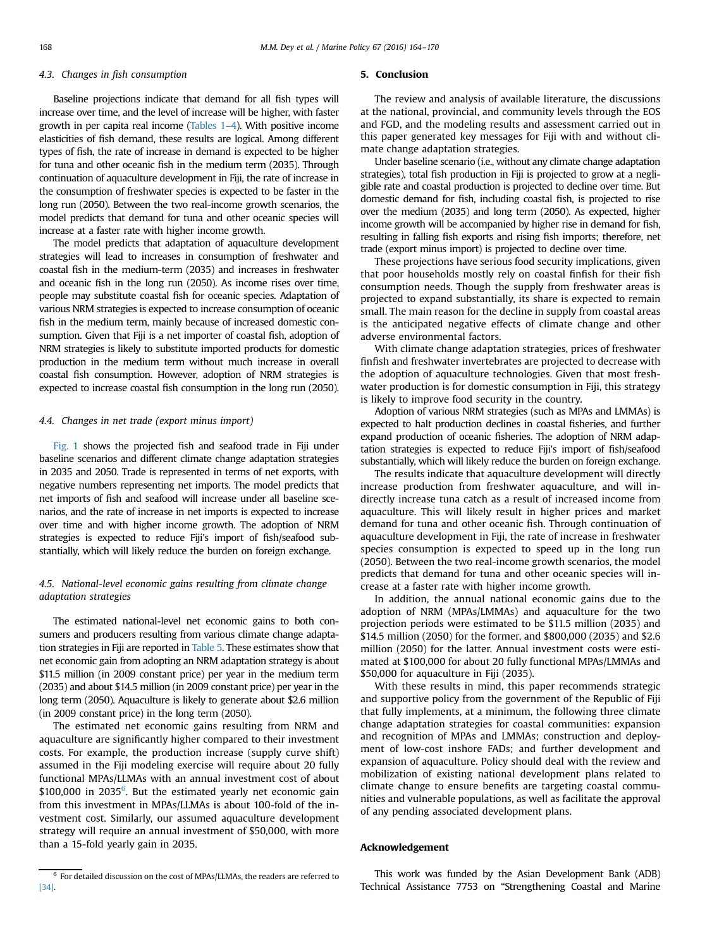# 4.3. Changes in fish consumption

Baseline projections indicate that demand for all fish types will increase over time, and the level of increase will be higher, with faster growth in per capita real income [\(Tables 1](#page-2-0)–[4\)](#page-3-0). With positive income elasticities of fish demand, these results are logical. Among different types of fish, the rate of increase in demand is expected to be higher for tuna and other oceanic fish in the medium term (2035). Through continuation of aquaculture development in Fiji, the rate of increase in the consumption of freshwater species is expected to be faster in the long run (2050). Between the two real-income growth scenarios, the model predicts that demand for tuna and other oceanic species will increase at a faster rate with higher income growth.

The model predicts that adaptation of aquaculture development strategies will lead to increases in consumption of freshwater and coastal fish in the medium-term (2035) and increases in freshwater and oceanic fish in the long run (2050). As income rises over time, people may substitute coastal fish for oceanic species. Adaptation of various NRM strategies is expected to increase consumption of oceanic fish in the medium term, mainly because of increased domestic consumption. Given that Fiji is a net importer of coastal fish, adoption of NRM strategies is likely to substitute imported products for domestic production in the medium term without much increase in overall coastal fish consumption. However, adoption of NRM strategies is expected to increase coastal fish consumption in the long run (2050).

## 4.4. Changes in net trade (export minus import)

[Fig. 1](#page-3-0) shows the projected fish and seafood trade in Fiji under baseline scenarios and different climate change adaptation strategies in 2035 and 2050. Trade is represented in terms of net exports, with negative numbers representing net imports. The model predicts that net imports of fish and seafood will increase under all baseline scenarios, and the rate of increase in net imports is expected to increase over time and with higher income growth. The adoption of NRM strategies is expected to reduce Fiji's import of fish/seafood substantially, which will likely reduce the burden on foreign exchange.

# 4.5. National-level economic gains resulting from climate change adaptation strategies

The estimated national-level net economic gains to both consumers and producers resulting from various climate change adaptation strategies in Fiji are reported in [Table 5.](#page-3-0) These estimates show that net economic gain from adopting an NRM adaptation strategy is about \$11.5 million (in 2009 constant price) per year in the medium term (2035) and about \$14.5 million (in 2009 constant price) per year in the long term (2050). Aquaculture is likely to generate about \$2.6 million (in 2009 constant price) in the long term (2050).

The estimated net economic gains resulting from NRM and aquaculture are significantly higher compared to their investment costs. For example, the production increase (supply curve shift) assumed in the Fiji modeling exercise will require about 20 fully functional MPAs/LLMAs with an annual investment cost of about  $$100,000$  in 2035<sup>6</sup>. But the estimated yearly net economic gain from this investment in MPAs/LLMAs is about 100-fold of the investment cost. Similarly, our assumed aquaculture development strategy will require an annual investment of \$50,000, with more than a 15-fold yearly gain in 2035.

# 5. Conclusion

The review and analysis of available literature, the discussions at the national, provincial, and community levels through the EOS and FGD, and the modeling results and assessment carried out in this paper generated key messages for Fiji with and without climate change adaptation strategies.

Under baseline scenario (i.e., without any climate change adaptation strategies), total fish production in Fiji is projected to grow at a negligible rate and coastal production is projected to decline over time. But domestic demand for fish, including coastal fish, is projected to rise over the medium (2035) and long term (2050). As expected, higher income growth will be accompanied by higher rise in demand for fish, resulting in falling fish exports and rising fish imports; therefore, net trade (export minus import) is projected to decline over time.

These projections have serious food security implications, given that poor households mostly rely on coastal finfish for their fish consumption needs. Though the supply from freshwater areas is projected to expand substantially, its share is expected to remain small. The main reason for the decline in supply from coastal areas is the anticipated negative effects of climate change and other adverse environmental factors.

With climate change adaptation strategies, prices of freshwater finfish and freshwater invertebrates are projected to decrease with the adoption of aquaculture technologies. Given that most freshwater production is for domestic consumption in Fiji, this strategy is likely to improve food security in the country.

Adoption of various NRM strategies (such as MPAs and LMMAs) is expected to halt production declines in coastal fisheries, and further expand production of oceanic fisheries. The adoption of NRM adaptation strategies is expected to reduce Fiji's import of fish/seafood substantially, which will likely reduce the burden on foreign exchange.

The results indicate that aquaculture development will directly increase production from freshwater aquaculture, and will indirectly increase tuna catch as a result of increased income from aquaculture. This will likely result in higher prices and market demand for tuna and other oceanic fish. Through continuation of aquaculture development in Fiji, the rate of increase in freshwater species consumption is expected to speed up in the long run (2050). Between the two real-income growth scenarios, the model predicts that demand for tuna and other oceanic species will increase at a faster rate with higher income growth.

In addition, the annual national economic gains due to the adoption of NRM (MPAs/LMMAs) and aquaculture for the two projection periods were estimated to be \$11.5 million (2035) and \$14.5 million (2050) for the former, and \$800,000 (2035) and \$2.6 million (2050) for the latter. Annual investment costs were estimated at \$100,000 for about 20 fully functional MPAs/LMMAs and \$50,000 for aquaculture in Fiji (2035).

With these results in mind, this paper recommends strategic and supportive policy from the government of the Republic of Fiji that fully implements, at a minimum, the following three climate change adaptation strategies for coastal communities: expansion and recognition of MPAs and LMMAs; construction and deployment of low-cost inshore FADs; and further development and expansion of aquaculture. Policy should deal with the review and mobilization of existing national development plans related to climate change to ensure benefits are targeting coastal communities and vulnerable populations, as well as facilitate the approval of any pending associated development plans.

# Acknowledgement

This work was funded by the Asian Development Bank (ADB) Technical Assistance 7753 on "Strengthening Coastal and Marine

 $^{\rm 6}$  For detailed discussion on the cost of MPAs/LLMAs, the readers are referred to [\[34\]](#page-6-0).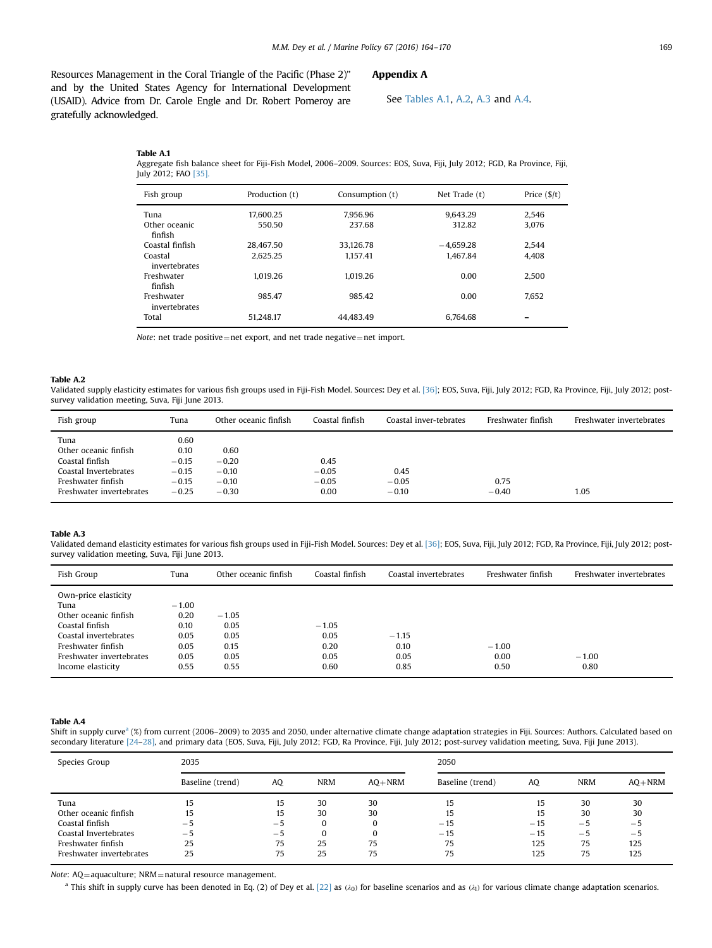<span id="page-5-0"></span>Resources Management in the Coral Triangle of the Pacific (Phase 2)" and by the United States Agency for International Development (USAID). Advice from Dr. Carole Engle and Dr. Robert Pomeroy are gratefully acknowledged.

# Appendix A

See Tables A.1, A.2, A.3 and A.4.

Table A.1 Aggregate fish balance sheet for Fiji-Fish Model, 2006–2009. Sources: EOS, Suva, Fiji, July 2012; FGD, Ra Province, Fiji, July 2012; FAO [\[35\].](#page-6-0)

| Fish group                  | Production (t) | Consumption (t) | Net Trade (t) | Price $(\frac{5}{t})$ |
|-----------------------------|----------------|-----------------|---------------|-----------------------|
| Tuna                        | 17.600.25      | 7.956.96        | 9.643.29      | 2.546                 |
| Other oceanic<br>finfish    | 550.50         | 237.68          | 312.82        | 3.076                 |
| Coastal finfish             | 28.467.50      | 33.126.78       | $-4.659.28$   | 2.544                 |
| Coastal<br>invertebrates    | 2.625.25       | 1.157.41        | 1.467.84      | 4.408                 |
| Freshwater<br>finfish       | 1.019.26       | 1.019.26        | 0.00          | 2.500                 |
| Freshwater<br>invertebrates | 985.47         | 985.42          | 0.00          | 7.652                 |
| Total                       | 51.248.17      | 44.483.49       | 6.764.68      |                       |

Note: net trade positive=net export, and net trade negative=net import.

#### Table A.2

Validated supply elasticity estimates for various fish groups used in Fiji-Fish Model. Sources: Dey et al. [\[36\];](#page-6-0) EOS, Suva, Fiji, July 2012; FGD, Ra Province, Fiji, July 2012; postsurvey validation meeting, Suva, Fiji June 2013.

| Fish group                                                                                                                  | Tuna                                                     | Other oceanic finfish                            | Coastal finfish                    | Coastal inver-tebrates     | Freshwater finfish | Freshwater invertebrates |
|-----------------------------------------------------------------------------------------------------------------------------|----------------------------------------------------------|--------------------------------------------------|------------------------------------|----------------------------|--------------------|--------------------------|
| Tuna<br>Other oceanic finfish<br>Coastal finfish<br>Coastal Invertebrates<br>Freshwater finfish<br>Freshwater invertebrates | 0.60<br>0.10<br>$-0.15$<br>$-0.15$<br>$-0.15$<br>$-0.25$ | 0.60<br>$-0.20$<br>$-0.10$<br>$-0.10$<br>$-0.30$ | 0.45<br>$-0.05$<br>$-0.05$<br>0.00 | 0.45<br>$-0.05$<br>$-0.10$ | 0.75<br>$-0.40$    | 1.05                     |

#### Table A.3

Validated demand elasticity estimates for various fish groups used in Fiji-Fish Model. Sources: Dey et al. [\[36\]](#page-6-0); EOS, Suva, Fiji, July 2012; FGD, Ra Province, Fiji, July 2012; postsurvey validation meeting, Suva, Fiji June 2013.

| Fish Group                                                                                        | Tuna                            | Other oceanic finfish   | Coastal finfish      | Coastal invertebrates | Freshwater finfish      | Freshwater invertebrates |
|---------------------------------------------------------------------------------------------------|---------------------------------|-------------------------|----------------------|-----------------------|-------------------------|--------------------------|
| Own-price elasticity<br>Tuna<br>Other oceanic finfish<br>Coastal finfish<br>Coastal invertebrates | $-1.00$<br>0.20<br>0.10<br>0.05 | $-1.05$<br>0.05<br>0.05 | $-1.05$<br>0.05      | $-1.15$               |                         |                          |
| Freshwater finfish<br>Freshwater invertebrates<br>Income elasticity                               | 0.05<br>0.05<br>0.55            | 0.15<br>0.05<br>0.55    | 0.20<br>0.05<br>0.60 | 0.10<br>0.05<br>0.85  | $-1.00$<br>0.00<br>0.50 | $-1.00$<br>0.80          |

#### Table A.4

Shift in supply curve<sup>a</sup> (%) from current (2006–2009) to 2035 and 2050, under alternative climate change adaptation strategies in Fiji. Sources: Authors. Calculated based on secondary literature [\[24](#page-6-0)–[28\]](#page-6-0), and primary data (EOS, Suva, Fiji, July 2012; FGD, Ra Province, Fiji, July 2012; post-survey validation meeting, Suva, Fiji June 2013).

| Species Group            | 2035             |      |            |            | 2050             |       |            |            |
|--------------------------|------------------|------|------------|------------|------------------|-------|------------|------------|
|                          | Baseline (trend) | AQ   | <b>NRM</b> | $AO + NRM$ | Baseline (trend) | AO    | <b>NRM</b> | $AO + NRM$ |
| Tuna                     | 15               | 15   | 30         | 30         | 15               | 15    | 30         | 30         |
| Other oceanic finfish    | 15               | 15   | 30         | 30         | 15               | 15    | 30         | 30         |
| Coastal finfish          | $-5$             | $-5$ | $\Omega$   |            | $-15$            | $-15$ | $-5$       | $-5$       |
| Coastal Invertebrates    | $-5$             | $-5$ | $\Omega$   |            | $-15$            | $-15$ | $-5$       | $-5$       |
| Freshwater finfish       | 25               | 75   | 25         | 75         | 75               | 125   | 75         | 125        |
| Freshwater invertebrates | 25               | 75   | 25         | 75         | 75               | 125   | 75         | 125        |

Note: AQ=aquaculture; NRM=natural resource management.

a This shift in supply curve has been denoted in Eq. (2) of Dey et al. [\[22\]](#page-6-0) as ( $λ$ 0) for baseline scenarios and as ( $λ$ 1) for various climate change adaptation scenarios.